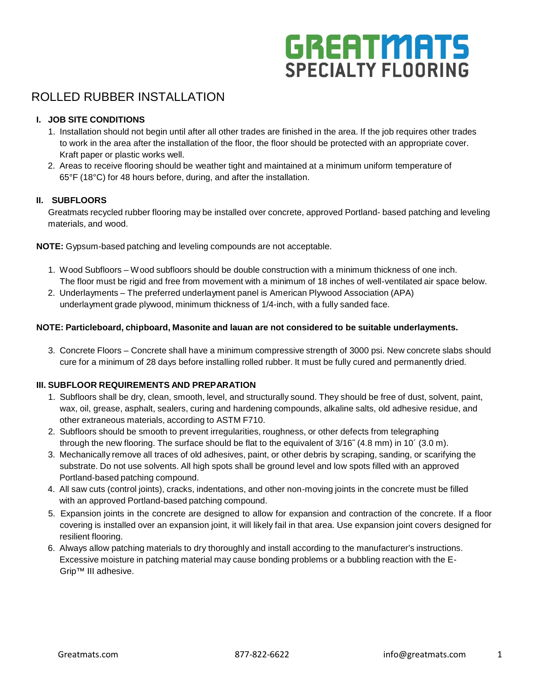# **GREATMATS SPECIALTY FLOORING**

# ROLLED RUBBER INSTALLATION

# **I. JOB SITE CONDITIONS**

- 1. Installation should not begin until after all other trades are finished in the area. If the job requires other trades to work in the area after the installation of the floor, the floor should be protected with an appropriate cover. Kraft paper or plastic works well.
- 2. Areas to receive flooring should be weather tight and maintained at a minimum uniform temperature of 65°F (18°C) for 48 hours before, during, and after the installation.

## **II. SUBFLOORS**

Greatmats recycled rubber flooring may be installed over concrete, approved Portland- based patching and leveling materials, and wood.

**NOTE:** Gypsum-based patching and leveling compounds are not acceptable.

- 1. Wood Subfloors Wood subfloors should be double construction with a minimum thickness of one inch. The floor must be rigid and free from movement with a minimum of 18 inches of well-ventilated air space below.
- 2. Underlayments The preferred underlayment panel is American Plywood Association (APA) underlayment grade plywood, minimum thickness of 1/4-inch, with a fully sanded face.

## **NOTE: Particleboard, chipboard, Masonite and lauan are not considered to be suitable underlayments.**

3. Concrete Floors – Concrete shall have a minimum compressive strength of 3000 psi. New concrete slabs should cure for a minimum of 28 days before installing rolled rubber. It must be fully cured and permanently dried.

# **III. SUBFLOOR REQUIREMENTS AND PREPARATION**

- 1. Subfloors shall be dry, clean, smooth, level, and structurally sound. They should be free of dust, solvent, paint, wax, oil, grease, asphalt, sealers, curing and hardening compounds, alkaline salts, old adhesive residue, and other extraneous materials, according to ASTM F710.
- 2. Subfloors should be smooth to prevent irregularities, roughness, or other defects from telegraphing through the new flooring. The surface should be flat to the equivalent of 3/16˝ (4.8 mm) in 10´ (3.0 m).
- 3. Mechanically remove all traces of old adhesives, paint, or other debris by scraping, sanding, or scarifying the substrate. Do not use solvents. All high spots shall be ground level and low spots filled with an approved Portland-based patching compound.
- 4. All saw cuts (control joints), cracks, indentations, and other non-moving joints in the concrete must be filled with an approved Portland-based patching compound.
- 5. Expansion joints in the concrete are designed to allow for expansion and contraction of the concrete. If a floor covering is installed over an expansion joint, it will likely fail in that area. Use expansion joint covers designed for resilient flooring.
- 6. Always allow patching materials to dry thoroughly and install according to the manufacturer's instructions. Excessive moisture in patching material may cause bonding problems or a bubbling reaction with the E-Grip™ III adhesive.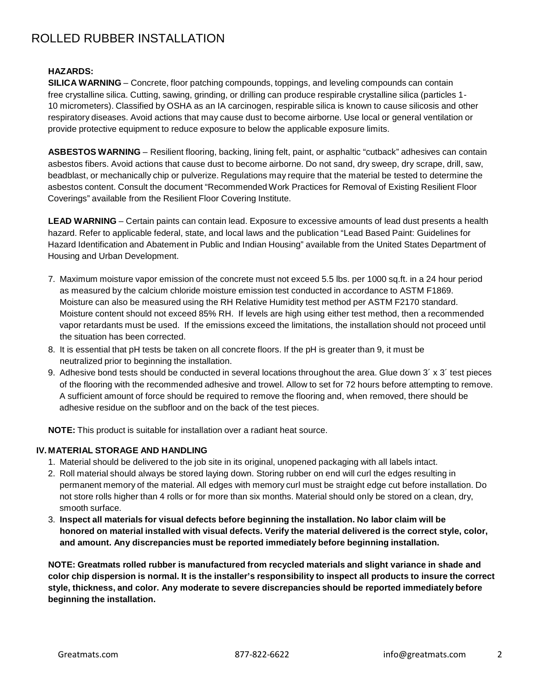#### **HAZARDS:**

**SILICA WARNING** – Concrete, floor patching compounds, toppings, and leveling compounds can contain free crystalline silica. Cutting, sawing, grinding, or drilling can produce respirable crystalline silica (particles 1- 10 micrometers). Classified by OSHA as an IA carcinogen, respirable silica is known to cause silicosis and other respiratory diseases. Avoid actions that may cause dust to become airborne. Use local or general ventilation or provide protective equipment to reduce exposure to below the applicable exposure limits.

**ASBESTOS WARNING** – Resilient flooring, backing, lining felt, paint, or asphaltic "cutback" adhesives can contain asbestos fibers. Avoid actions that cause dust to become airborne. Do not sand, dry sweep, dry scrape, drill, saw, beadblast, or mechanically chip or pulverize. Regulations may require that the material be tested to determine the asbestos content. Consult the document "Recommended Work Practices for Removal of Existing Resilient Floor Coverings" available from the Resilient Floor Covering Institute.

**LEAD WARNING** – Certain paints can contain lead. Exposure to excessive amounts of lead dust presents a health hazard. Refer to applicable federal, state, and local laws and the publication "Lead Based Paint: Guidelines for Hazard Identification and Abatement in Public and Indian Housing" available from the United States Department of Housing and Urban Development.

- 7. Maximum moisture vapor emission of the concrete must not exceed 5.5 lbs. per 1000 sq.ft. in a 24 hour period as measured by the calcium chloride moisture emission test conducted in accordance to ASTM F1869. Moisture can also be measured using the RH Relative Humidity test method per ASTM F2170 standard. Moisture content should not exceed 85% RH. If levels are high using either test method, then a recommended vapor retardants must be used. If the emissions exceed the limitations, the installation should not proceed until the situation has been corrected.
- 8. It is essential that pH tests be taken on all concrete floors. If the pH is greater than 9, it must be neutralized prior to beginning the installation.
- 9. Adhesive bond tests should be conducted in several locations throughout the area. Glue down 3' x 3' test pieces of the flooring with the recommended adhesive and trowel. Allow to set for 72 hours before attempting to remove. A sufficient amount of force should be required to remove the flooring and, when removed, there should be adhesive residue on the subfloor and on the back of the test pieces.

**NOTE:** This product is suitable for installation over a radiant heat source.

#### **IV. MATERIAL STORAGE AND HANDLING**

- 1. Material should be delivered to the job site in its original, unopened packaging with all labels intact.
- 2. Roll material should always be stored laying down. Storing rubber on end will curl the edges resulting in permanent memory of the material. All edges with memory curl must be straight edge cut before installation. Do not store rolls higher than 4 rolls or for more than six months. Material should only be stored on a clean, dry, smooth surface.
- 3. **Inspect all materials for visual defects before beginning the installation. No labor claim will be honored on material installed with visual defects. Verify the material delivered is the correct style, color, and amount. Any discrepancies must be reported immediately before beginning installation.**

**NOTE: Greatmats rolled rubber is manufactured from recycled materials and slight variance in shade and** color chip dispersion is normal. It is the installer's responsibility to inspect all products to insure the correct **style, thickness, and color. Any moderate to severe discrepancies should be reported immediately before beginning the installation.**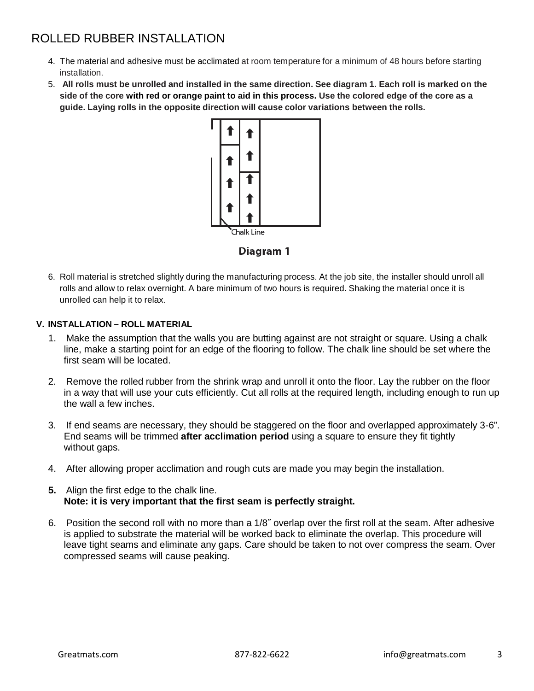- 4. The material and adhesive must be acclimated at room temperature for a minimum of 48 hours before starting installation.
- 5. All rolls must be unrolled and installed in the same direction. See diagram 1. Each roll is marked on the side of the core with red or orange paint to aid in this process. Use the colored edge of the core as a **guide. Laying rolls in the opposite direction will cause color variations between the rolls.**



# Diagram 1

6. Roll material is stretched slightly during the manufacturing process. At the job site, the installer should unroll all rolls and allow to relax overnight. A bare minimum of two hours is required. Shaking the material once it is unrolled can help it to relax.

# **V. INSTALLATION – ROLL MATERIAL**

- 1. Make the assumption that the walls you are butting against are not straight or square. Using a chalk line, make a starting point for an edge of the flooring to follow. The chalk line should be set where the first seam will be located.
- 2. Remove the rolled rubber from the shrink wrap and unroll it onto the floor. Lay the rubber on the floor in a way that will use your cuts efficiently. Cut all rolls at the required length, including enough to run up the wall a few inches.
- 3. If end seams are necessary, they should be staggered on the floor and overlapped approximately 3-6". End seams will be trimmed **after acclimation period** using a square to ensure they fit tightly without gaps.
- 4. After allowing proper acclimation and rough cuts are made you may begin the installation.
- **5.** Align the first edge to the chalk line. **Note: it is very important that the first seam is perfectly straight.**
- 6. Position the second roll with no more than a 1/8˝ overlap over the first roll at the seam. After adhesive is applied to substrate the material will be worked back to eliminate the overlap. This procedure will leave tight seams and eliminate any gaps. Care should be taken to not over compress the seam. Over compressed seams will cause peaking.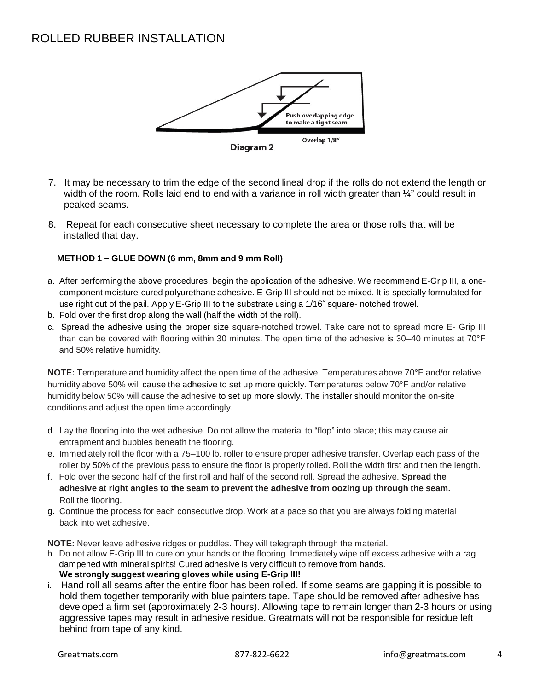

- 7. It may be necessary to trim the edge of the second lineal drop if the rolls do not extend the length or width of the room. Rolls laid end to end with a variance in roll width greater than  $\frac{1}{4}$ " could result in peaked seams.
- 8. Repeat for each consecutive sheet necessary to complete the area or those rolls that will be installed that day.

## **METHOD 1 – GLUE DOWN (6 mm, 8mm and 9 mm Roll)**

- a. After performing the above procedures, begin the application of the adhesive. We recommend E-Grip III, a onecomponent moisture-cured polyurethane adhesive. E-Grip III should not be mixed. It is specially formulated for use right out of the pail. Apply E-Grip III to the substrate using a 1/16˝ square- notched trowel.
- b. Fold over the first drop along the wall (half the width of the roll).
- c. Spread the adhesive using the proper size square-notched trowel. Take care not to spread more E- Grip III than can be covered with flooring within 30 minutes. The open time of the adhesive is 30–40 minutes at 70°F and 50% relative humidity.

**NOTE:** Temperature and humidity affect the open time of the adhesive. Temperatures above 70°F and/or relative humidity above 50% will cause the adhesive to set up more quickly. Temperatures below 70°F and/or relative humidity below 50% will cause the adhesive to set up more slowly. The installer should monitor the on-site conditions and adjust the open time accordingly.

- d. Lay the flooring into the wet adhesive. Do not allow the material to "flop" into place; this may cause air entrapment and bubbles beneath the flooring.
- e. Immediately roll the floor with a 75–100 lb. roller to ensure proper adhesive transfer. Overlap each pass of the roller by 50% of the previous pass to ensure the floor is properly rolled. Roll the width first and then the length.
- f. Fold over the second half of the first roll and half of the second roll. Spread the adhesive. **Spread the adhesive at right angles to the seam to prevent the adhesive from oozing up through the seam.** Roll the flooring.
- g. Continue the process for each consecutive drop. Work at a pace so that you are always folding material back into wet adhesive.

**NOTE:** Never leave adhesive ridges or puddles. They will telegraph through the material.

- h. Do not allow E-Grip III to cure on your hands or the flooring. Immediately wipe off excess adhesive with a rag dampened with mineral spirits! Cured adhesive is very difficult to remove from hands. **We strongly suggest wearing gloves while using E-Grip III!**
- i. Hand roll all seams after the entire floor has been rolled. If some seams are gapping it is possible to hold them together temporarily with blue painters tape. Tape should be removed after adhesive has developed a firm set (approximately 2-3 hours). Allowing tape to remain longer than 2-3 hours or using aggressive tapes may result in adhesive residue. Greatmats will not be responsible for residue left behind from tape of any kind.